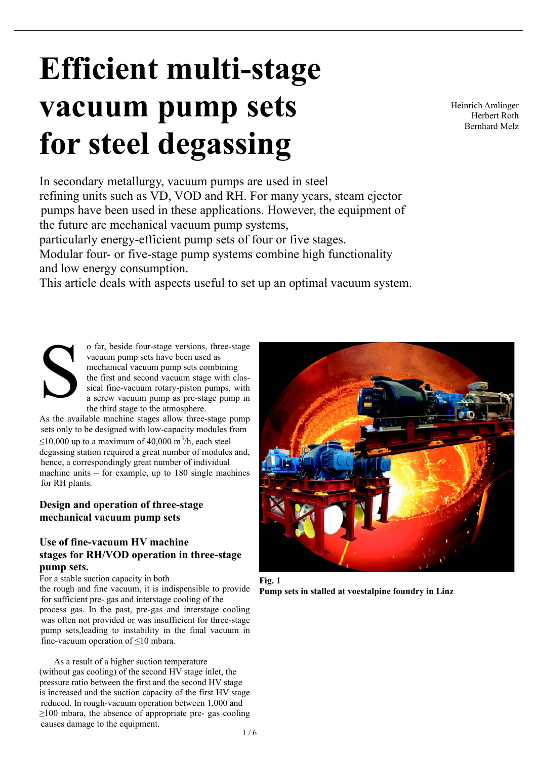# **Efficient multi-stage vacuum pump sets for steel degassing**

In secondary metallurgy, vacuum pumps are used in steel refining units such as VD, VOD and RH. For many years, steam ejector pumps have been used in these applications. However, the equipment of the future are mechanical vacuum pump systems,

particularly energy-efficient pump sets of four or five stages.

Modular four- or five-stage pump systems combine high functionality and low energy consumption.

This article deals with aspects useful to set up an optimal vacuum system.

o far, beside four-stage versions, three-stage vacuum pump sets have been used as mechanical vacuum pump sets combining the first and second vacuum stage with classical fine-vacuum rotary-piston pumps, with a screw vacuum pump as pre-stage pump in the third stage to the atmosphere. S

As the available machine stages allow three-stage pump sets only to be designed with low-capacity modules from  $\leq$ 10,000 up to a maximum of 40,000 m<sup>3</sup>/h, each steel degassing station required a great number of modules and, hence, a correspondingly great number of individual machine units – for example, up to 180 single machines for RH plants.

# **Design and operation of three-stage mechanical vacuum pump sets**

## **Use of fine-vacuum HV machine stages for RH/VOD operation in three-stage pump sets.**

For a stable suction capacity in both

the rough and fine vacuum, it is indispensible to provide for sufficient pre- gas and interstage cooling of the process gas. In the past, pre-gas and interstage cooling was often not provided or was insufficient for three-stage pump sets,leading to instability in the final vacuum in fine-vacuum operation of  $\leq 10$  mbara.

 As a result of a higher suction temperature (without gas cooling) of the second HV stage inlet, the pressure ratio between the first and the second HV stage is increased and the suction capacity of the first HV stage reduced. In rough-vacuum operation between 1,000 and  $\geq$ 100 mbara, the absence of appropriate pre- gas cooling causes damage to the equipment.



**Fig. 1 Pump sets in stalled at voestalpine foundry in Linz**

Heinrich Amlinger Herbert Roth Bernhard Melz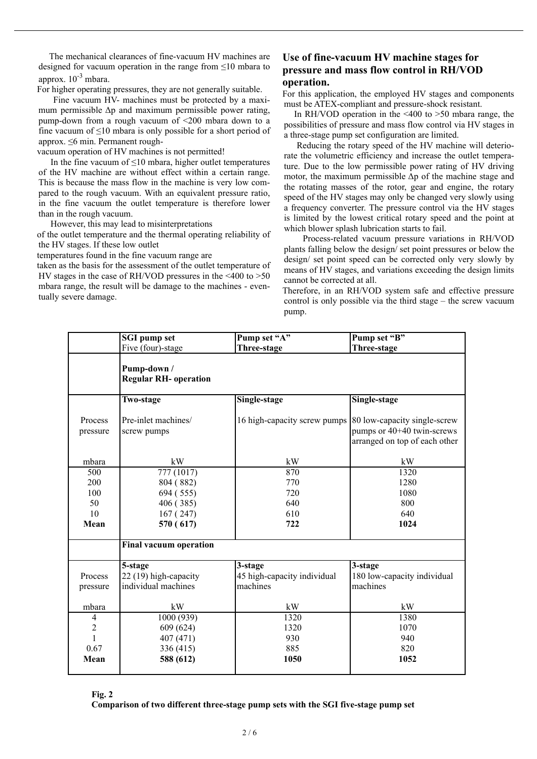The mechanical clearances of fine-vacuum HV machines are designed for vacuum operation in the range from ≤10 mbara to approx.  $10^{-3}$  mbara.

For higher operating pressures, they are not generally suitable.

 Fine vacuum HV- machines must be protected by a maximum permissible  $\Delta p$  and maximum permissible power rating, pump-down from a rough vacuum of <200 mbara down to a fine vacuum of  $\leq 10$  mbara is only possible for a short period of approx. ≤6 min. Permanent rough-

vacuum operation of HV machines is not permitted!

In the fine vacuum of  $\leq 10$  mbara, higher outlet temperatures of the HV machine are without effect within a certain range. This is because the mass flow in the machine is very low compared to the rough vacuum. With an equivalent pressure ratio, in the fine vacuum the outlet temperature is therefore lower than in the rough vacuum.

However, this may lead to misinterpretations

of the outlet temperature and the thermal operating reliability of the HV stages. If these low outlet

temperatures found in the fine vacuum range are

taken as the basis for the assessment of the outlet temperature of HV stages in the case of RH/VOD pressures in the <400 to >50 mbara range, the result will be damage to the machines - eventually severe damage.

## **Use of fine-vacuum HV machine stages for pressure and mass flow control in RH/VOD operation.**

For this application, the employed HV stages and components must be ATEX-compliant and pressure-shock resistant.

In RH/VOD operation in the  $\leq 400$  to  $\geq 50$  mbara range, the possibilities of pressure and mass flow control via HV stages in a three-stage pump set configuration are limited.

 Reducing the rotary speed of the HV machine will deteriorate the volumetric efficiency and increase the outlet temperature. Due to the low permissible power rating of HV driving motor, the maximum permissible  $\Delta p$  of the machine stage and the rotating masses of the rotor, gear and engine, the rotary speed of the HV stages may only be changed very slowly using a frequency converter. The pressure control via the HV stages is limited by the lowest critical rotary speed and the point at which blower splash lubrication starts to fail.

 Process-related vacuum pressure variations in RH/VOD plants falling below the design/ set point pressures or below the design/ set point speed can be corrected only very slowly by means of HV stages, and variations exceeding the design limits cannot be corrected at all.

Therefore, in an RH/VOD system safe and effective pressure control is only possible via the third stage – the screw vacuum pump.

|                     | <b>SGI</b> pump set                         | Pump set "A"                                               | Pump set "B"                                                |
|---------------------|---------------------------------------------|------------------------------------------------------------|-------------------------------------------------------------|
|                     | Five (four)-stage                           | Three-stage                                                | Three-stage                                                 |
|                     | Pump-down /<br><b>Regular RH- operation</b> |                                                            |                                                             |
|                     | Two-stage                                   | Single-stage                                               | Single-stage                                                |
| Process<br>pressure | Pre-inlet machines/<br>screw pumps          | 16 high-capacity screw pumps [80 low-capacity single-screw | pumps or 40+40 twin-screws<br>arranged on top of each other |
| mbara               | kW                                          | kW                                                         | kW                                                          |
| 500                 | 777 (1017)                                  | 870                                                        | 1320                                                        |
| 200                 | 804 (882)                                   | 770                                                        | 1280                                                        |
| 100                 | 694 (555)                                   | 720                                                        | 1080                                                        |
| 50                  | 406 (385)                                   | 640                                                        | 800                                                         |
| 10                  | 167(247)                                    | 610                                                        | 640                                                         |
| Mean                | 570 (617)                                   | 722                                                        | 1024                                                        |
|                     | <b>Final vacuum operation</b>               |                                                            |                                                             |
|                     | 5-stage                                     | 3-stage                                                    | 3-stage                                                     |
| Process             | 22 (19) high-capacity                       | 45 high-capacity individual                                | 180 low-capacity individual                                 |
| pressure            | individual machines                         | machines                                                   | machines                                                    |
| mbara               | kW                                          | kW                                                         | kW                                                          |
| $\overline{4}$      | 1000 (939)                                  | 1320                                                       | 1380                                                        |
| $\overline{2}$      | 609 (624)                                   | 1320                                                       | 1070                                                        |
| 1                   | 407 (471)                                   | 930                                                        | 940                                                         |
| 0.67                | 336 (415)                                   | 885                                                        | 820                                                         |
| Mean                | 588 (612)                                   | 1050                                                       | 1052                                                        |
|                     |                                             |                                                            |                                                             |

**Fig. 2**

**Comparison of two different three-stage pump sets with the SGI five-stage pump set**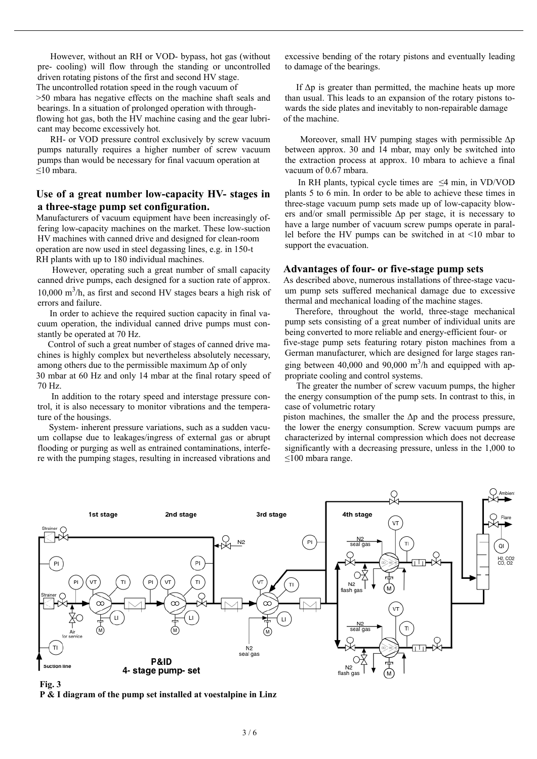However, without an RH or VOD- bypass, hot gas (without pre- cooling) will flow through the standing or uncontrolled driven rotating pistons of the first and second HV stage. The uncontrolled rotation speed in the rough vacuum of >50 mbara has negative effects on the machine shaft seals and bearings. In a situation of prolonged operation with throughflowing hot gas, both the HV machine casing and the gear lubricant may become excessively hot.

 RH- or VOD pressure control exclusively by screw vacuum pumps naturally requires a higher number of screw vacuum pumps than would be necessary for final vacuum operation at ≤10 mbara.

#### **Use of a great number low-capacity HV- stages in a three-stage pump set configuration.**

Manufacturers of vacuum equipment have been increasingly offering low-capacity machines on the market. These low-suction HV machines with canned drive and designed for clean-room operation are now used in steel degassing lines, e.g. in 150-t RH plants with up to 180 individual machines.

 However, operating such a great number of small capacity canned drive pumps, each designed for a suction rate of approx.  $10,000 \text{ m}^3/h$ , as first and second HV stages bears a high risk of errors and failure.

 In order to achieve the required suction capacity in final vacuum operation, the individual canned drive pumps must constantly be operated at 70 Hz.

 Control of such a great number of stages of canned drive machines is highly complex but nevertheless absolutely necessary, among others due to the permissible maximum  $\Delta p$  of only 30 mbar at 60 Hz and only 14 mbar at the final rotary speed of 70 Hz.

 In addition to the rotary speed and interstage pressure control, it is also necessary to monitor vibrations and the temperature of the housings.

 System- inherent pressure variations, such as a sudden vacuum collapse due to leakages/ingress of external gas or abrupt flooding or purging as well as entrained contaminations, interfere with the pumping stages, resulting in increased vibrations and excessive bending of the rotary pistons and eventually leading to damage of the bearings.

If  $\Delta p$  is greater than permitted, the machine heats up more than usual. This leads to an expansion of the rotary pistons towards the side plates and inevitably to non-repairable damage of the machine.

Moreover, small HV pumping stages with permissible  $\Delta p$ between approx. 30 and 14 mbar, may only be switched into the extraction process at approx. 10 mbara to achieve a final vacuum of 0.67 mbara.

In RH plants, typical cycle times are  $\leq$ 4 min, in VD/VOD plants 5 to 6 min. In order to be able to achieve these times in three-stage vacuum pump sets made up of low-capacity blowers and/or small permissible  $\Delta p$  per stage, it is necessary to have a large number of vacuum screw pumps operate in parallel before the HV pumps can be switched in at <10 mbar to support the evacuation.

#### **Advantages of four- or five-stage pump sets**

As described above, numerous installations of three-stage vacuum pump sets suffered mechanical damage due to excessive thermal and mechanical loading of the machine stages.

Therefore, throughout the world, three-stage mechanical pump sets consisting of a great number of individual units are being converted to more reliable and energy-efficient four- or five-stage pump sets featuring rotary piston machines from a German manufacturer, which are designed for large stages ranging between 40,000 and 90,000  $m^3/h$  and equipped with appropriate cooling and control systems.

 The greater the number of screw vacuum pumps, the higher the energy consumption of the pump sets. In contrast to this, in case of volumetric rotary

piston machines, the smaller the  $\Delta p$  and the process pressure, the lower the energy consumption. Screw vacuum pumps are characterized by internal compression which does not decrease significantly with a decreasing pressure, unless in the 1,000 to ≤100 mbara range.



**Fig. 3**

**P & I diagram of the pump set installed at voestalpine in Linz**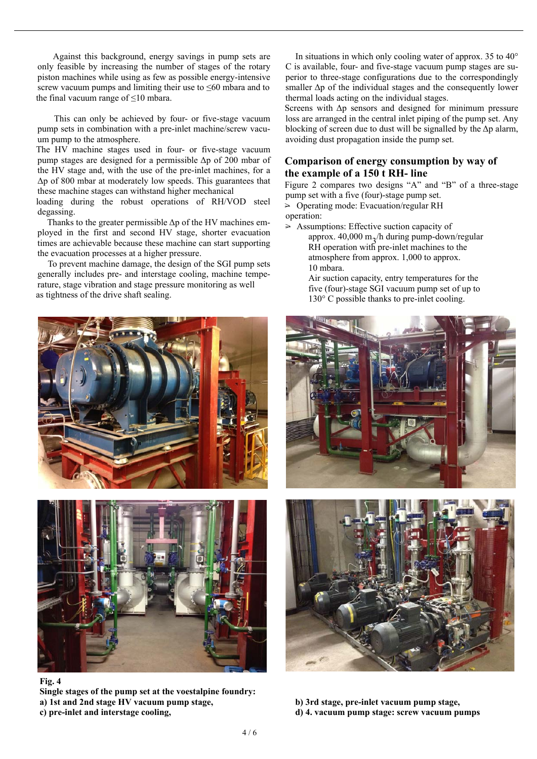Against this background, energy savings in pump sets are only feasible by increasing the number of stages of the rotary piston machines while using as few as possible energy-intensive screw vacuum pumps and limiting their use to ≤60 mbara and to the final vacuum range of  $\leq 10$  mbara.

 This can only be achieved by four- or five-stage vacuum pump sets in combination with a pre-inlet machine/screw vacuum pump to the atmosphere.

The HV machine stages used in four- or five-stage vacuum pump stages are designed for a permissible Δp of 200 mbar of the HV stage and, with the use of the pre-inlet machines, for a Δp of 800 mbar at moderately low speeds. This guarantees that these machine stages can withstand higher mechanical

loading during the robust operations of RH/VOD steel degassing.

Thanks to the greater permissible  $\Delta p$  of the HV machines employed in the first and second HV stage, shorter evacuation times are achievable because these machine can start supporting the evacuation processes at a higher pressure.

 To prevent machine damage, the design of the SGI pump sets generally includes pre- and interstage cooling, machine temperature, stage vibration and stage pressure monitoring as well as tightness of the drive shaft sealing.





**Fig. 4**

**Single stages of the pump set at the voestalpine foundry: a) 1st and 2nd stage HV vacuum pump stage, b) 3rd stage, pre-inlet vacuum pump stage, c) pre-inlet and interstage cooling, d) 4. vacuum pump stage: screw vacuum pumps**

 In situations in which only cooling water of approx. 35 to 40° C is available, four- and five-stage vacuum pump stages are superior to three-stage configurations due to the correspondingly smaller  $\Delta p$  of the individual stages and the consequently lower thermal loads acting on the individual stages.

Screens with Δp sensors and designed for minimum pressure loss are arranged in the central inlet piping of the pump set. Any blocking of screen due to dust will be signalled by the  $\Delta p$  alarm, avoiding dust propagation inside the pump set.

#### **Comparison of energy consumption by way of the example of a 150 t RH- line**

Figure 2 compares two designs "A" and "B" of a three-stage pump set with a five (four)-stage pump set.

> Operating mode: Evacuation/regular RH operation:

 $\geq$  Assumptions: Effective suction capacity of

- approx.  $40,000$  m<sub>2</sub>/h during pump-down/regular RH operation with pre-inlet machines to the atmosphere from approx. 1,000 to approx. 10 mbara.
	- Air suction capacity, entry temperatures for the five (four)-stage SGI vacuum pump set of up to 130° C possible thanks to pre-inlet cooling.



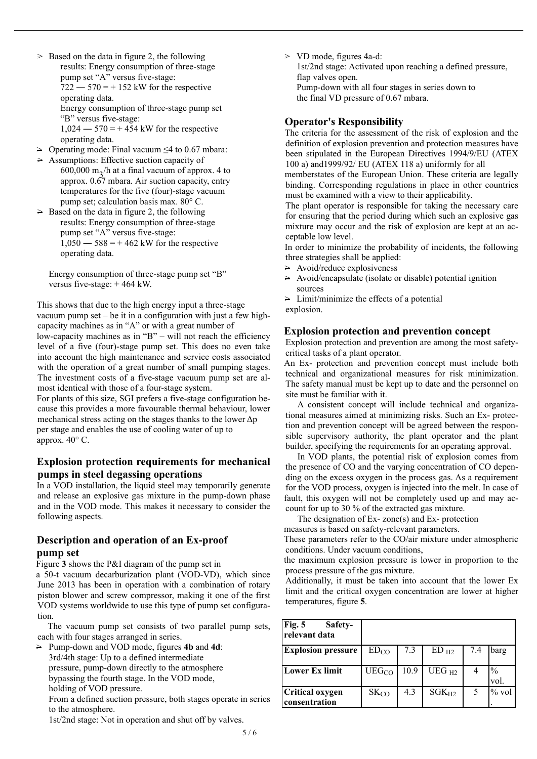- $\geq$  Based on the data in figure 2, the following results: Energy consumption of three-stage pump set "A" versus five-stage:  $722 - 570 = +152$  kW for the respective operating data. Energy consumption of three-stage pump set "B" versus five-stage:  $1,024 - 570 = +454$  kW for the respective operating data.
- $\geq$  Operating mode: Final vacuum  $\leq$ 4 to 0.67 mbara:
- $\geq$  Assumptions: Effective suction capacity of 600,000 m<sub>3</sub>/h at a final vacuum of approx. 4 to approx. 0.67 mbara. Air suction capacity, entry temperatures for the five (four)-stage vacuum pump set; calculation basis max. 80° C.
- $\geq$  Based on the data in figure 2, the following results: Energy consumption of three-stage pump set "A" versus five-stage:  $1,050 - 588 = +462$  kW for the respective operating data.

Energy consumption of three-stage pump set "B" versus five-stage: + 464 kW.

This shows that due to the high energy input a three-stage vacuum pump set – be it in a configuration with just a few highcapacity machines as in "A" or with a great number of low-capacity machines as in "B" – will not reach the efficiency level of a five (four)-stage pump set. This does no even take into account the high maintenance and service costs associated with the operation of a great number of small pumping stages. The investment costs of a five-stage vacuum pump set are almost identical with those of a four-stage system.

For plants of this size, SGI prefers a five-stage configuration because this provides a more favourable thermal behaviour, lower mechanical stress acting on the stages thanks to the lower Δp per stage and enables the use of cooling water of up to approx. 40° C.

### **Explosion protection requirements for mechanical pumps in steel degassing operations**

In a VOD installation, the liquid steel may temporarily generate and release an explosive gas mixture in the pump-down phase and in the VOD mode. This makes it necessary to consider the following aspects.

### **Description and operation of an Ex-proof pump set**

Figure **3** shows the P&I diagram of the pump set in

a 50-t vacuum decarburization plant (VOD-VD), which since June 2013 has been in operation with a combination of rotary piston blower and screw compressor, making it one of the first VOD systems worldwide to use this type of pump set configuration.

The vacuum pump set consists of two parallel pump sets, each with four stages arranged in series.

> Pump-down and VOD mode, figures **4b** and **4d**: 3rd/4th stage: Up to a defined intermediate pressure, pump-down directly to the atmosphere bypassing the fourth stage. In the VOD mode, holding of VOD pressure.

From a defined suction pressure, both stages operate in series to the atmosphere.

1st/2nd stage: Not in operation and shut off by valves.

 $\geq$  VD mode, figures 4a-d:

1st/2nd stage: Activated upon reaching a defined pressure, flap valves open.

Pump-down with all four stages in series down to the final VD pressure of 0.67 mbara.

#### **Operator's Responsibility**

The criteria for the assessment of the risk of explosion and the definition of explosion prevention and protection measures have been stipulated in the European Directives 1994/9/EU (ATEX 100 a) and1999/92/ EU (ATEX 118 a) uniformly for all

memberstates of the European Union. These criteria are legally binding. Corresponding regulations in place in other countries must be examined with a view to their applicability.

The plant operator is responsible for taking the necessary care for ensuring that the period during which such an explosive gas mixture may occur and the risk of explosion are kept at an acceptable low level.

In order to minimize the probability of incidents, the following three strategies shall be applied:

- $\geq$  Avoid/reduce explosiveness
- $\geq$  Avoid/encapsulate (isolate or disable) potential ignition sources

 $\geq$  Limit/minimize the effects of a potential

explosion.

#### **Explosion protection and prevention concept**

Explosion protection and prevention are among the most safetycritical tasks of a plant operator.

An Ex- protection and prevention concept must include both technical and organizational measures for risk minimization. The safety manual must be kept up to date and the personnel on site must be familiar with it.

A consistent concept will include technical and organizational measures aimed at minimizing risks. Such an Ex- protection and prevention concept will be agreed between the responsible supervisory authority, the plant operator and the plant builder, specifying the requirements for an operating approval.

In VOD plants, the potential risk of explosion comes from the presence of CO and the varying concentration of CO depending on the excess oxygen in the process gas. As a requirement for the VOD process, oxygen is injected into the melt. In case of fault, this oxygen will not be completely used up and may account for up to 30 % of the extracted gas mixture.

The designation of Ex- zone(s) and Ex- protection

measures is based on safety-relevant parameters.

These parameters refer to the CO/air mixture under atmospheric conditions. Under vacuum conditions,

the maximum explosion pressure is lower in proportion to the process pressure of the gas mixture.

Additionally, it must be taken into account that the lower Ex limit and the critical oxygen concentration are lower at higher temperatures, figure **5**.

| Fig. 5<br>Safety-<br>relevant data |                   |      |                   |     |              |
|------------------------------------|-------------------|------|-------------------|-----|--------------|
| <b>Explosion pressure</b>          | ED <sub>CO</sub>  | 7.3  | $ED_{H2}$         | 7.4 | barg         |
| Lower Ex limit                     | UEG <sub>CO</sub> | 10.9 | UEG <sub>H2</sub> |     | $\%$<br>vol. |
| Critical oxygen<br>consentration   | $SK_{CO}$         | 4.3  | $SGK_{H2}$        | 5   | $%$ vol      |